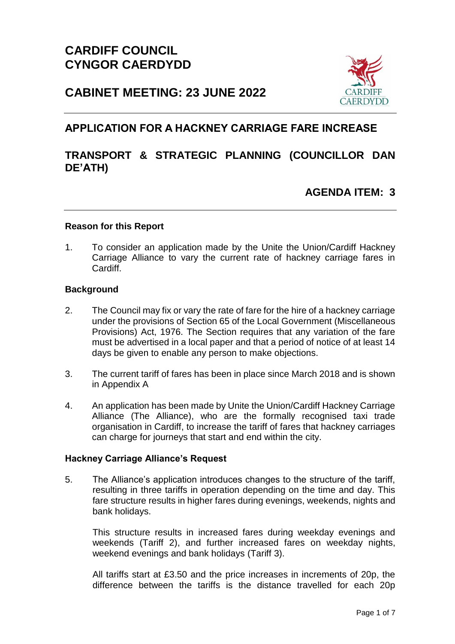

# **CABINET MEETING: 23 JUNE 2022**

## **APPLICATION FOR A HACKNEY CARRIAGE FARE INCREASE**

## **TRANSPORT & STRATEGIC PLANNING (COUNCILLOR DAN DE'ATH)**

## **AGENDA ITEM: 3**

#### **Reason for this Report**

1. To consider an application made by the Unite the Union/Cardiff Hackney Carriage Alliance to vary the current rate of hackney carriage fares in Cardiff.

#### **Background**

- 2. The Council may fix or vary the rate of fare for the hire of a hackney carriage under the provisions of Section 65 of the Local Government (Miscellaneous Provisions) Act, 1976. The Section requires that any variation of the fare must be advertised in a local paper and that a period of notice of at least 14 days be given to enable any person to make objections.
- 3. The current tariff of fares has been in place since March 2018 and is shown in Appendix A
- 4. An application has been made by Unite the Union/Cardiff Hackney Carriage Alliance (The Alliance), who are the formally recognised taxi trade organisation in Cardiff, to increase the tariff of fares that hackney carriages can charge for journeys that start and end within the city.

#### **Hackney Carriage Alliance's Request**

5. The Alliance's application introduces changes to the structure of the tariff, resulting in three tariffs in operation depending on the time and day. This fare structure results in higher fares during evenings, weekends, nights and bank holidays.

This structure results in increased fares during weekday evenings and weekends (Tariff 2), and further increased fares on weekday nights, weekend evenings and bank holidays (Tariff 3).

All tariffs start at £3.50 and the price increases in increments of 20p, the difference between the tariffs is the distance travelled for each 20p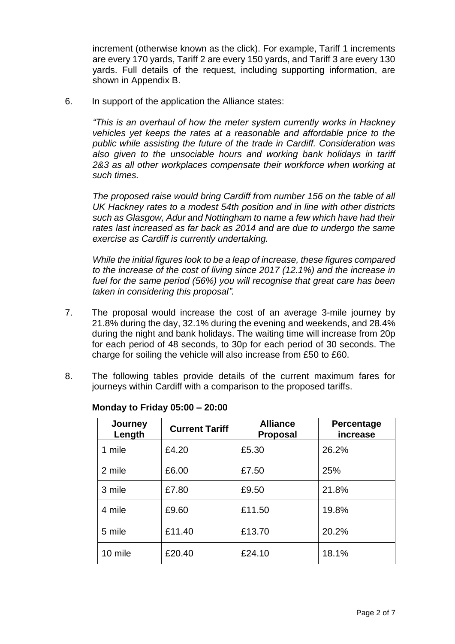increment (otherwise known as the click). For example, Tariff 1 increments are every 170 yards, Tariff 2 are every 150 yards, and Tariff 3 are every 130 yards. Full details of the request, including supporting information, are shown in Appendix B.

6. In support of the application the Alliance states:

*"This is an overhaul of how the meter system currently works in Hackney vehicles yet keeps the rates at a reasonable and affordable price to the public while assisting the future of the trade in Cardiff. Consideration was also given to the unsociable hours and working bank holidays in tariff 2&3 as all other workplaces compensate their workforce when working at such times.*

*The proposed raise would bring Cardiff from number 156 on the table of all UK Hackney rates to a modest 54th position and in line with other districts such as Glasgow, Adur and Nottingham to name a few which have had their rates last increased as far back as 2014 and are due to undergo the same exercise as Cardiff is currently undertaking.*

*While the initial figures look to be a leap of increase, these figures compared to the increase of the cost of living since 2017 (12.1%) and the increase in fuel for the same period (56%) you will recognise that great care has been taken in considering this proposal".*

- 7. The proposal would increase the cost of an average 3-mile journey by 21.8% during the day, 32.1% during the evening and weekends, and 28.4% during the night and bank holidays. The waiting time will increase from 20p for each period of 48 seconds, to 30p for each period of 30 seconds. The charge for soiling the vehicle will also increase from £50 to £60.
- 8. The following tables provide details of the current maximum fares for journeys within Cardiff with a comparison to the proposed tariffs.

| Journey<br>Length | <b>Current Tariff</b> | <b>Alliance</b><br><b>Proposal</b> | Percentage<br>increase |
|-------------------|-----------------------|------------------------------------|------------------------|
| 1 mile            | £4.20                 | £5.30                              | 26.2%                  |
| 2 mile            | £6.00                 | £7.50                              | 25%                    |
| 3 mile            | £7.80                 | £9.50                              | 21.8%                  |
| 4 mile            | £9.60                 | £11.50                             | 19.8%                  |
| 5 mile            | £11.40                | £13.70                             | 20.2%                  |
| 10 mile           | £20.40                | £24.10                             | 18.1%                  |

**Monday to Friday 05:00 – 20:00**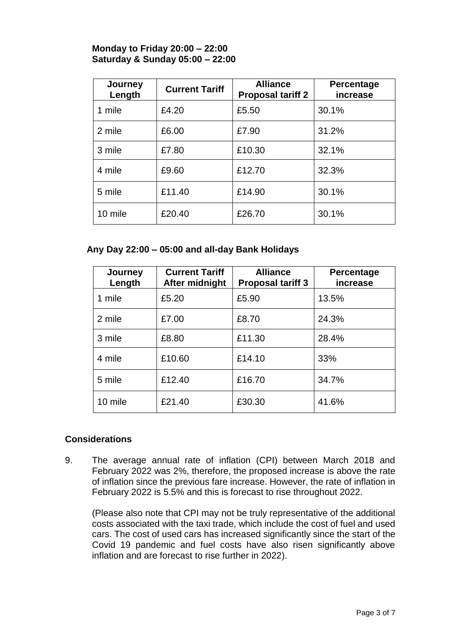### **Monday to Friday 20:00 – 22:00 Saturday & Sunday 05:00 – 22:00**

| Journey<br>Length | <b>Current Tariff</b> | <b>Alliance</b><br><b>Proposal tariff 2</b> | Percentage<br>increase |
|-------------------|-----------------------|---------------------------------------------|------------------------|
| 1 mile            | £4.20                 | £5.50                                       | 30.1%                  |
| 2 mile            | £6.00                 | £7.90                                       | 31.2%                  |
| 3 mile            | £7.80                 | £10.30                                      | 32.1%                  |
| 4 mile            | £9.60                 | £12.70                                      | 32.3%                  |
| 5 mile            | £11.40                | £14.90                                      | 30.1%                  |
| 10 mile           | £20.40                | £26.70                                      | 30.1%                  |

### **Any Day 22:00 – 05:00 and all-day Bank Holidays**

| Journey<br>Length | <b>Current Tariff</b><br>After midnight | <b>Alliance</b><br><b>Proposal tariff 3</b> | Percentage<br>increase |
|-------------------|-----------------------------------------|---------------------------------------------|------------------------|
| 1 mile            | £5.20                                   | £5.90                                       | 13.5%                  |
| 2 mile            | £7.00                                   | £8.70                                       | 24.3%                  |
| 3 mile            | £8.80                                   | £11.30                                      | 28.4%                  |
| 4 mile            | £10.60                                  | £14.10                                      | 33%                    |
| 5 mile            | £12.40                                  | £16.70                                      | 34.7%                  |
| 10 mile           | £21.40                                  | £30.30                                      | 41.6%                  |

### **Considerations**

9. The average annual rate of inflation (CPI) between March 2018 and February 2022 was 2%, therefore, the proposed increase is above the rate of inflation since the previous fare increase. However, the rate of inflation in February 2022 is 5.5% and this is forecast to rise throughout 2022.

(Please also note that CPI may not be truly representative of the additional costs associated with the taxi trade, which include the cost of fuel and used cars. The cost of used cars has increased significantly since the start of the Covid 19 pandemic and fuel costs have also risen significantly above inflation and are forecast to rise further in 2022).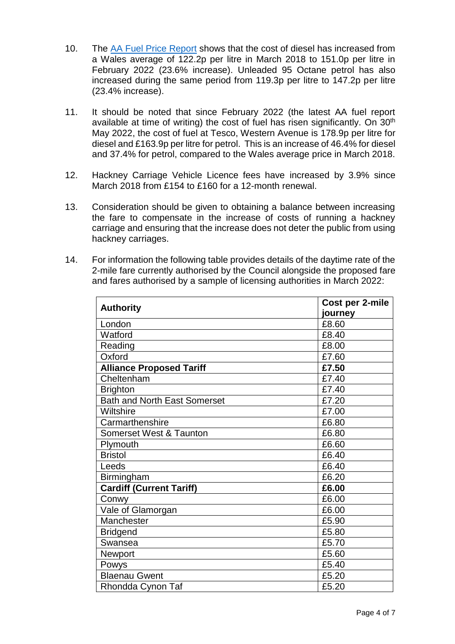- 10. The [AA Fuel Price Report](https://www.theaa.com/driving-advice/driving-costs/fuel-prices) shows that the cost of diesel has increased from a Wales average of 122.2p per litre in March 2018 to 151.0p per litre in February 2022 (23.6% increase). Unleaded 95 Octane petrol has also increased during the same period from 119.3p per litre to 147.2p per litre (23.4% increase).
- 11. It should be noted that since February 2022 (the latest AA fuel report available at time of writing) the cost of fuel has risen significantly. On  $30<sup>th</sup>$ May 2022, the cost of fuel at Tesco, Western Avenue is 178.9p per litre for diesel and £163.9p per litre for petrol. This is an increase of 46.4% for diesel and 37.4% for petrol, compared to the Wales average price in March 2018.
- 12. Hackney Carriage Vehicle Licence fees have increased by 3.9% since March 2018 from £154 to £160 for a 12-month renewal.
- 13. Consideration should be given to obtaining a balance between increasing the fare to compensate in the increase of costs of running a hackney carriage and ensuring that the increase does not deter the public from using hackney carriages.
- 14. For information the following table provides details of the daytime rate of the 2-mile fare currently authorised by the Council alongside the proposed fare and fares authorised by a sample of licensing authorities in March 2022:

| <b>Authority</b>                    | Cost per 2-mile |  |
|-------------------------------------|-----------------|--|
|                                     | journey         |  |
| London                              | £8.60           |  |
| Watford                             | £8.40           |  |
| Reading                             | £8.00           |  |
| Oxford                              | £7.60           |  |
| <b>Alliance Proposed Tariff</b>     | £7.50           |  |
| Cheltenham                          | £7.40           |  |
| <b>Brighton</b>                     | £7.40           |  |
| <b>Bath and North East Somerset</b> | £7.20           |  |
| Wiltshire                           | £7.00           |  |
| Carmarthenshire                     | £6.80           |  |
| <b>Somerset West &amp; Taunton</b>  | £6.80           |  |
| Plymouth                            | £6.60           |  |
| <b>Bristol</b>                      | £6.40           |  |
| Leeds                               | £6.40           |  |
| Birmingham                          | £6.20           |  |
| <b>Cardiff (Current Tariff)</b>     | £6.00           |  |
| Conwy                               | £6.00           |  |
| Vale of Glamorgan                   | £6.00           |  |
| Manchester                          | £5.90           |  |
| <b>Bridgend</b>                     | £5.80           |  |
| Swansea                             | £5.70           |  |
| <b>Newport</b>                      | £5.60           |  |
| Powys                               | £5.40           |  |
| <b>Blaenau Gwent</b>                | £5.20           |  |
| Rhondda Cynon Taf                   | £5.20           |  |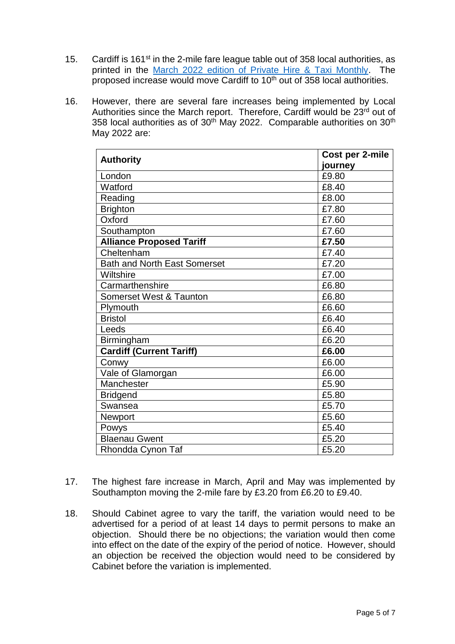- 15. Cardiff is 161 $st$  in the 2-mile fare league table out of 358 local authorities, as printed in the [March 2022 edition of Private Hire & Taxi Monthly.](https://www.phtm.co.uk/newspaper/taxi-fares-league-tables) The proposed increase would move Cardiff to 10<sup>th</sup> out of 358 local authorities.
- 16. However, there are several fare increases being implemented by Local Authorities since the March report. Therefore, Cardiff would be 23rd out of 358 local authorities as of  $30<sup>th</sup>$  May 2022. Comparable authorities on  $30<sup>th</sup>$ May 2022 are:

| <b>Authority</b>                    | Cost per 2-mile |  |
|-------------------------------------|-----------------|--|
|                                     | journey         |  |
| London                              | £9.80           |  |
| Watford                             | £8.40           |  |
| Reading                             | £8.00           |  |
| <b>Brighton</b>                     | £7.80           |  |
| Oxford                              | £7.60           |  |
| Southampton                         | £7.60           |  |
| <b>Alliance Proposed Tariff</b>     | £7.50           |  |
| Cheltenham                          | £7.40           |  |
| <b>Bath and North East Somerset</b> | £7.20           |  |
| Wiltshire                           | £7.00           |  |
| Carmarthenshire                     | £6.80           |  |
| Somerset West & Taunton             | £6.80           |  |
| Plymouth                            | £6.60           |  |
| <b>Bristol</b>                      | £6.40           |  |
| Leeds                               | £6.40           |  |
| Birmingham                          | £6.20           |  |
| <b>Cardiff (Current Tariff)</b>     | £6.00           |  |
| Conwy                               | £6.00           |  |
| Vale of Glamorgan                   | £6.00           |  |
| Manchester                          | £5.90           |  |
| <b>Bridgend</b>                     | £5.80           |  |
| Swansea                             | £5.70           |  |
| Newport                             | £5.60           |  |
| Powys                               | £5.40           |  |
| <b>Blaenau Gwent</b>                | £5.20           |  |
| Rhondda Cynon Taf                   | £5.20           |  |

- 17. The highest fare increase in March, April and May was implemented by Southampton moving the 2-mile fare by £3.20 from £6.20 to £9.40.
- 18. Should Cabinet agree to vary the tariff, the variation would need to be advertised for a period of at least 14 days to permit persons to make an objection. Should there be no objections; the variation would then come into effect on the date of the expiry of the period of notice. However, should an objection be received the objection would need to be considered by Cabinet before the variation is implemented.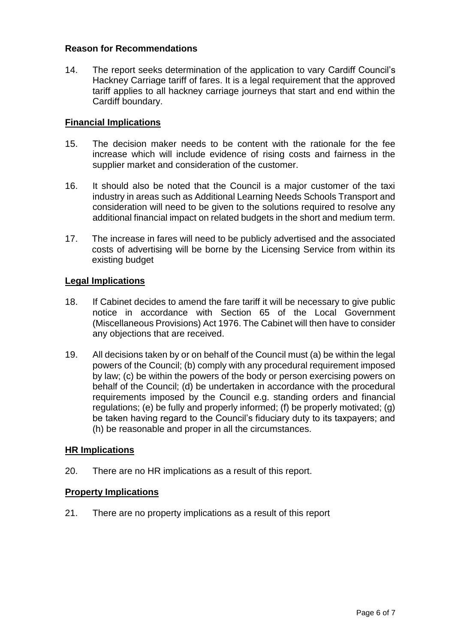### **Reason for Recommendations**

14. The report seeks determination of the application to vary Cardiff Council's Hackney Carriage tariff of fares. It is a legal requirement that the approved tariff applies to all hackney carriage journeys that start and end within the Cardiff boundary.

#### **Financial Implications**

- 15. The decision maker needs to be content with the rationale for the fee increase which will include evidence of rising costs and fairness in the supplier market and consideration of the customer.
- 16. It should also be noted that the Council is a major customer of the taxi industry in areas such as Additional Learning Needs Schools Transport and consideration will need to be given to the solutions required to resolve any additional financial impact on related budgets in the short and medium term.
- 17. The increase in fares will need to be publicly advertised and the associated costs of advertising will be borne by the Licensing Service from within its existing budget

### **Legal Implications**

- 18. If Cabinet decides to amend the fare tariff it will be necessary to give public notice in accordance with Section 65 of the Local Government (Miscellaneous Provisions) Act 1976. The Cabinet will then have to consider any objections that are received.
- 19. All decisions taken by or on behalf of the Council must (a) be within the legal powers of the Council; (b) comply with any procedural requirement imposed by law; (c) be within the powers of the body or person exercising powers on behalf of the Council; (d) be undertaken in accordance with the procedural requirements imposed by the Council e.g. standing orders and financial regulations; (e) be fully and properly informed; (f) be properly motivated; (g) be taken having regard to the Council's fiduciary duty to its taxpayers; and (h) be reasonable and proper in all the circumstances.

#### **HR Implications**

20. There are no HR implications as a result of this report.

#### **Property Implications**

21. There are no property implications as a result of this report